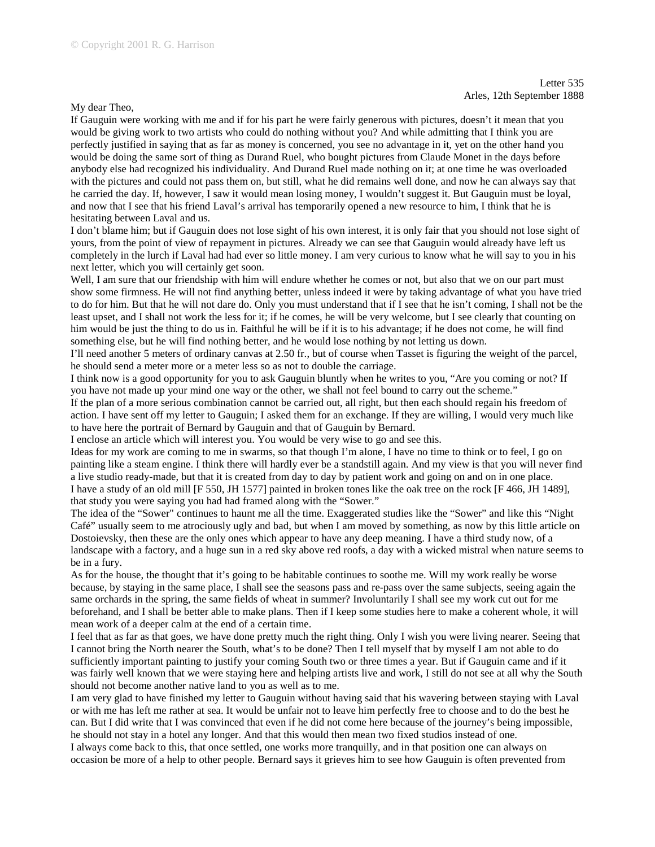## My dear Theo,

If Gauguin were working with me and if for his part he were fairly generous with pictures, doesn't it mean that you would be giving work to two artists who could do nothing without you? And while admitting that I think you are perfectly justified in saying that as far as money is concerned, you see no advantage in it, yet on the other hand you would be doing the same sort of thing as Durand Ruel, who bought pictures from Claude Monet in the days before anybody else had recognized his individuality. And Durand Ruel made nothing on it; at one time he was overloaded with the pictures and could not pass them on, but still, what he did remains well done, and now he can always say that he carried the day. If, however, I saw it would mean losing money, I wouldn't suggest it. But Gauguin must be loyal, and now that I see that his friend Laval's arrival has temporarily opened a new resource to him, I think that he is hesitating between Laval and us.

I don't blame him; but if Gauguin does not lose sight of his own interest, it is only fair that you should not lose sight of yours, from the point of view of repayment in pictures. Already we can see that Gauguin would already have left us completely in the lurch if Laval had had ever so little money. I am very curious to know what he will say to you in his next letter, which you will certainly get soon.

Well, I am sure that our friendship with him will endure whether he comes or not, but also that we on our part must show some firmness. He will not find anything better, unless indeed it were by taking advantage of what you have tried to do for him. But that he will not dare do. Only you must understand that if I see that he isn't coming, I shall not be the least upset, and I shall not work the less for it; if he comes, he will be very welcome, but I see clearly that counting on him would be just the thing to do us in. Faithful he will be if it is to his advantage; if he does not come, he will find something else, but he will find nothing better, and he would lose nothing by not letting us down.

I'll need another 5 meters of ordinary canvas at 2.50 fr., but of course when Tasset is figuring the weight of the parcel, he should send a meter more or a meter less so as not to double the carriage.

I think now is a good opportunity for you to ask Gauguin bluntly when he writes to you, "Are you coming or not? If you have not made up your mind one way or the other, we shall not feel bound to carry out the scheme."

If the plan of a more serious combination cannot be carried out, all right, but then each should regain his freedom of action. I have sent off my letter to Gauguin; I asked them for an exchange. If they are willing, I would very much like to have here the portrait of Bernard by Gauguin and that of Gauguin by Bernard.

I enclose an article which will interest you. You would be very wise to go and see this.

Ideas for my work are coming to me in swarms, so that though I'm alone, I have no time to think or to feel, I go on painting like a steam engine. I think there will hardly ever be a standstill again. And my view is that you will never find a live studio ready-made, but that it is created from day to day by patient work and going on and on in one place. I have a study of an old mill [F 550, JH 1577] painted in broken tones like the oak tree on the rock [F 466, JH 1489], that study you were saying you had had framed along with the "Sower."

The idea of the "Sower" continues to haunt me all the time. Exaggerated studies like the "Sower" and like this "Night Café" usually seem to me atrociously ugly and bad, but when I am moved by something, as now by this little article on Dostoievsky, then these are the only ones which appear to have any deep meaning. I have a third study now, of a landscape with a factory, and a huge sun in a red sky above red roofs, a day with a wicked mistral when nature seems to be in a fury.

As for the house, the thought that it's going to be habitable continues to soothe me. Will my work really be worse because, by staying in the same place, I shall see the seasons pass and re-pass over the same subjects, seeing again the same orchards in the spring, the same fields of wheat in summer? Involuntarily I shall see my work cut out for me beforehand, and I shall be better able to make plans. Then if I keep some studies here to make a coherent whole, it will mean work of a deeper calm at the end of a certain time.

I feel that as far as that goes, we have done pretty much the right thing. Only I wish you were living nearer. Seeing that I cannot bring the North nearer the South, what's to be done? Then I tell myself that by myself I am not able to do sufficiently important painting to justify your coming South two or three times a year. But if Gauguin came and if it was fairly well known that we were staying here and helping artists live and work, I still do not see at all why the South should not become another native land to you as well as to me.

I am very glad to have finished my letter to Gauguin without having said that his wavering between staying with Laval or with me has left me rather at sea. It would be unfair not to leave him perfectly free to choose and to do the best he can. But I did write that I was convinced that even if he did not come here because of the journey's being impossible, he should not stay in a hotel any longer. And that this would then mean two fixed studios instead of one.

I always come back to this, that once settled, one works more tranquilly, and in that position one can always on occasion be more of a help to other people. Bernard says it grieves him to see how Gauguin is often prevented from